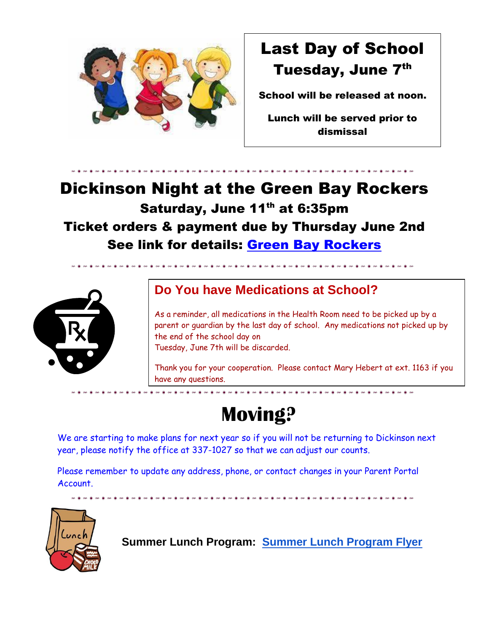

# Last Day of School Tuesday, June 7th

School will be released at noon.

Lunch will be served prior to dismissal

## Dickinson Night at the Green Bay Rockers Saturday, June 11<sup>th</sup> at 6:35pm Ticket orders & payment due by Thursday June 2nd See link for details: [Green Bay Rockers](https://drive.google.com/file/d/1tRB2n3c68skp8HPtL1Y6verGO7Tsibsx/view?usp=sharing)



## **Do You have Medications at School?**

As a reminder, all medications in the Health Room need to be picked up by a parent or guardian by the last day of school. Any medications not picked up by the end of the school day on Tuesday, June 7th will be discarded.

Thank you for your cooperation. Please contact Mary Hebert at ext. 1163 if you have any questions.

-----------------------------

# **Moving?**

We are starting to make plans for next year so if you will not be returning to Dickinson next year, please notify the office at 337-1027 so that we can adjust our counts.

Please remember to update any address, phone, or contact changes in your Parent Portal Account.



**Summer Lunch Program: [Summer Lunch Program Flyer](https://drive.google.com/file/d/1MvOYUxbEC7lGujy47NMdVUpKFLJRCOjP/view?usp=sharing)**